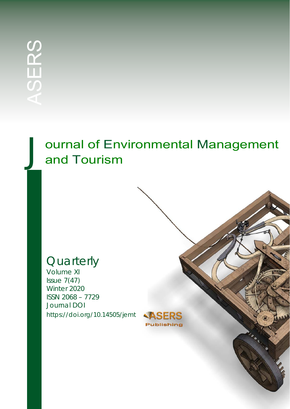# ournal of Environmental Management and Tourism

## **Quarterly**

Volume XI Issue 7(47) Winter 2020 ISSN 2068 – 7729 Journal DOI https://doi.org/10.14505/jemt

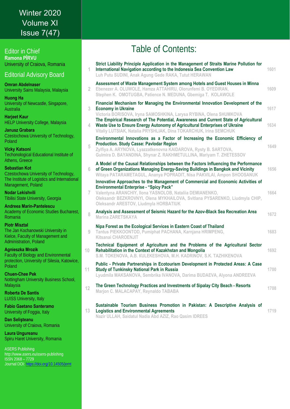### *Journal of Environmental Management and Tourism* Volume XI Winter 2020 Issue 7(47)

Editor in Chief **Ramona PÎRVU**  University of Craiova, Romania

Editorial Advisory Board

**Omran Abdelnaser**  University Sains Malaysia, Malaysia

**Huong Ha**  University of Newcastle, Singapore, **Australia** 

**Harjeet Kaur**  HELP University College, Malaysia

**Janusz Grabara** Czestochowa University of Technology, Poland

**Vicky Katsoni**  Techonological Educational Institute of Athens, Greece

**Sebastian Kot** Czestochowa University of Technology, The Institute of Logistics and International Management, Poland

**Nodar Lekishvili**  Tibilisi State University, Georgia

**Andreea Marin-Pantelescu**  Academy of Economic Studies Bucharest, Romania

**Piotr Misztal** 

The Jan Kochanowski University in Kielce, Faculty of Management and Administration, Poland

**Agnieszka Mrozik** 

Faculty of Biology and Environmental protection, University of Silesia, Katowice, Poland

**Chuen-Chee Pek** 

Nottingham University Business School, Malaysia

**Roberta De Santis**  LUISS University, Italy

**Fabio Gaetano Santeramo**  University of Foggia, Italy

**Dan Selişteanu**  University of Craiova, Romania

**Laura Ungureanu**  Spiru Haret University, Romania

ASERS Publishing http://www.asers.eu/asers-publishing ISSN 2068 – 7729 Journal DOI: https://doi.org/10.14505/jemt

## Table of Contents:

| 1              | Strict Liability Principle Application in the Management of Straits Marine Pollution for<br>International Navigation according to the Indonesia Sea Convention Law<br>Luh Putu SUDINI, Anak Agung Gede RAKA, Tutut HERAWAN                                                                                                                                | 1601         |
|----------------|-----------------------------------------------------------------------------------------------------------------------------------------------------------------------------------------------------------------------------------------------------------------------------------------------------------------------------------------------------------|--------------|
| $\overline{2}$ | Assessment of Waste Management System among Hotels and Guest Houses in Minna<br>Ebenezer A. OLUWOLE, Hamza ATTAHIRU, Olorunfemi B. OYEDIRAN,<br>Stephen K. OMOTUGBA, Patience N. MEDUNA, Gbemiga T. KOLAWOLE                                                                                                                                              | 1609         |
| 3<br>4         | Financial Mechanism for Managing the Environmental Innovation Development of the<br><b>Economy in Ukraine</b><br>Victoria BORISOVA, Iryna SAMOSHKINA, Larysa RYBINA, Olena SHUMKOVA<br>The Empirical Research of The Potential, Awareness and Current State of Agricultural<br>Waste Use to Ensure Energy Autonomy of Agricultural Enterprises of Ukraine | 1617<br>1634 |
| 5              | Vitaliy LUTSIAK, Natalia PRYSHLIAK, Dina TOKARCHUK, Irina SEMCHUK<br>Environmental Innovations as a Factor of Increasing the Economic Efficiency of<br><b>Production. Study Casse: Pavlodar Region</b><br>Zylfiya A. ARYNOVA, Lyazzatkenovna KAIDAROVA, Rysty B. SARTOVA,<br>Gulmira D. BAYANDINA, Shynar Z. RAKHMETULLINA, Mariyam T. ZHETESSOV          | 1649         |
| 6              | A Model of the Causal Relationships between the Factors Influencing the Performance<br>of Green Organizations Managing Energy-Saving Buildings in Bangkok and Vicinity<br>Witaya PATARAMETAGUL, Ananya POPRADIT, Nisa PAKVILAI, Ampon SHOOSANUK                                                                                                           | 1656         |
| 7              | Innovative Approaches to the Management of Commercial and Economic Activities of<br><b>Environmental Enterprise - "Spicy Pack"</b><br>Valentyna ARANCHIY, Ilona YASNOLOB, Nataliia DEMIANENKO,<br>Oleksandr BEZKROVNYI, Olena MYKHAILOVA, Svitlana PYSARENKO, Liudmyla CHIP,<br>Oleksandr ARESTOV, Liudmyla HORBATIUK                                     | 1664         |
| 8              | Analysis and Assessment of Seismic Hazard for the Azov-Black Sea Recreation Area<br><b>Marina ZARETSKAYA</b>                                                                                                                                                                                                                                              | 1672         |
| 9              | Nipa Forest as the Ecological Services in Eastern Coast of Thailand<br>Tantus PIEKKOONTOD, Pumiphat PACHANA, Karnjana HRIMPENG,<br><b>Kitsanai CHAROENJIT</b>                                                                                                                                                                                             | 1683         |
| 10             | Technical Equipment of Agriculture and the Problems of the Agricultural Sector<br>Rehabilitation in the Context of Kazakhstan and Mongolia<br>S.M. TOKENOVA, A.B. KULEKESHOVA, M.H. KADRINOV, S.K. TAZHIKENOVA                                                                                                                                            | 1692         |
| 11             | Public - Private Partnerships in Ecotourism Development in Protected Areas: A Case<br><b>Study of Tunkinsky National Park in Russia</b><br>Lyudmila MAKSANOVA, Sembrika IVANOVA, Darima BUDAEVA, Alyona ANDREEVA                                                                                                                                          | 1700         |
| 12             | The Green Technology Practices and Investments of Sipalay City Beach - Resorts<br>Marjon C. MALACAPAY, Reynaldo TABABA                                                                                                                                                                                                                                    | 1708         |
| 13             | Sustainable Tourism Business Promotion in Pakistan: A Descriptive Analysis of<br><b>Logistics and Environmental Agreements</b>                                                                                                                                                                                                                            | 1719         |

**Logistics and Environmental Agreements Nazir ULLAH, Saidatul Nadia Abd AZIZ, Rao Qasim IDREES**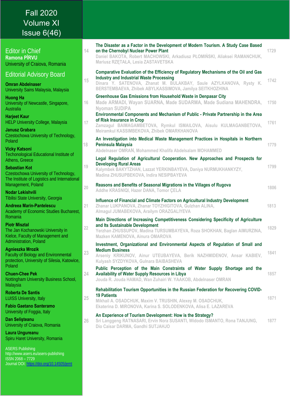## Fall 2020 Volume XI Issue 6(46)

| <b>Editor in Chief</b><br><b>Ramona PÎRVU</b><br>University of Craiova, Romania                                                     |    | The Disaster as a Factor in the Development of Modern Tourism. A Study Case Based<br>on the Chernobyl Nuclear Power Plant<br>Daniel BAKOTA, Robert MACHOWSKI, Arkadiusz PŁOMIŃSKI, Aliaksei RAMANCHUK,<br>Mariusz RZETAŁA, Lesia ZASTAVETSKA | 1729 |
|-------------------------------------------------------------------------------------------------------------------------------------|----|----------------------------------------------------------------------------------------------------------------------------------------------------------------------------------------------------------------------------------------------|------|
| <b>Editorial Advisory Board</b><br><b>Omran Abdelnaser</b><br>University Sains Malaysia, Malaysia                                   |    | Comparative Evaluation of the Efficiency of Regulatory Mechanisms of the Oil and Gas<br><b>Industry and Industrial Waste Processing</b>                                                                                                      |      |
|                                                                                                                                     |    | Dinara Y. SATENOVA, Zhanat M. BULAKBAY, Saule AZYLKANOVA, Rysty K.<br>BERSTEMBAEVA, Zhibek ABYLKASSIMOVA, Jamilya SEITKHOZHINA                                                                                                               | 1742 |
| <b>Huong Ha</b><br>University of Newcastle, Singapore,<br>Australia                                                                 | 16 | Greenhouse Gas Emissions from Household Waste in Denpasar City<br>Made ARMADI, Wayan SUARNA, Made SUDARMA, Made Sudiana MAHENDRA,<br><b>Nyoman SUDIPA</b>                                                                                    | 1750 |
| <b>Harjeet Kaur</b><br><b>HELP University College, Malaysia</b>                                                                     | 17 | Environmental Components and Mechanism of Public - Private Partnership in the Area<br>of Risk Insurance in Crop<br>Zamzagul BAIMAGAMBETOVA, Rymkul ISMAILOVA, Aisulu KULMAGANBETOVA,                                                         | 1761 |
| <b>Janusz Grabara</b><br>Czestochowa University of Technology,                                                                      |    | Meiramkul KASSIMBEKOVA, Zhibek OMARKHANOVA                                                                                                                                                                                                   |      |
| Poland                                                                                                                              | 18 | An Investigation into Medical Waste Management Practices in Hospitals in Northern<br>Peninsula Malaysia                                                                                                                                      | 1779 |
| <b>Vicky Katsoni</b><br><b>Techonological Educational Institute of</b>                                                              |    | Abdelnaser OMRAN, Mohammed Khalifa Abdelsalam MOHAMMED                                                                                                                                                                                       |      |
| Athens, Greece<br><b>Sebastian Kot</b><br>Czestochowa University of Technology,                                                     | 19 | Legal Regulation of Agricultural Cooperation. New Approaches and Prospects for<br><b>Developing Rural Areas</b><br>Kalymbek BAKYTZHAN, Lazzat YERKINBAYEVA, Daniya NURMUKHANKYZY,<br>Madina ZHUSUPBEKOVA, Indira NESIPBAYEVA                 | 1799 |
| The Institute of Logistics and International<br>Management, Poland                                                                  |    | Reasons and Benefits of Seasonal Migrations in the Villages of Rugova                                                                                                                                                                        |      |
| Nodar Lekishvili                                                                                                                    | 20 | Addhe KRASNIQI, Hazer DANA, Tomor ÇELA                                                                                                                                                                                                       | 1806 |
| Tibilisi State University, Georgia<br><b>Andreea Marin-Pantelescu</b><br>Academy of Economic Studies Bucharest,                     | 21 | Influence of Financial and Climate Factors on Agricultural Industry Development<br>Zhanar LUKPANOVA, Zhanar TOYZHIGITOVA, Gulzhan ALINA,<br>Almagul JUMABEKOVA, Arailym ORAZGALIYEVA                                                         | 1813 |
| Romania<br><b>Piotr Misztal</b><br>The Jan Kochanowski University in<br>Kielce, Faculty of Management and<br>Administration, Poland | 22 | Main Directions of Increasing Competitiveness Considering Specificity of Agriculture<br>and Its Sustainable Development<br>Yerzhan ZHUSSUPOV, Madina TURSUMBAYEVA, Roza SHOKHAN, Baglan AIMURZINA,<br>Mazken KAMENOVA, Ainura OMAROVA        | 1829 |
| <b>Agnieszka Mrozik</b><br><b>Faculty of Biology and Environmental</b><br>protection, University of Silesia, Katowice,<br>Poland    | 23 | Investment, Organizational and Environmental Aspects of Regulation of Small and<br><b>Medium Business</b><br>Arseniy KRIKUNOV, Ainur UTEUBAYEVA, Berik NAZHMIDENOV, Ansar KABIEV,<br>Kulyash SYZDYKOVA, Gulnara BAIBASHEVA                   | 1841 |
| <b>Chuen-Chee Pek</b><br>Nottingham University Business School,<br>Malaysia                                                         |    | Public Perception of the Main Constraints of Water Supply Shortage and the<br><b>Availability of Water Supply Resources in Libya</b><br>Jouda R. Jouda HAMAD, Wan Zuhairi W. YAAKOB, Abdelnaser OMRAN                                        | 1857 |
| <b>Roberta De Santis</b><br><b>LUISS University, Italy</b>                                                                          | 25 | Rehabilitation Tourism Opportunities in the Russian Federation for Recovering COVID-<br><b>19 Patients</b>                                                                                                                                   | 1871 |
| <b>Fabio Gaetano Santeramo</b>                                                                                                      |    | Mikhail A. OSADCHUK, Maxim V. TRUSHIN, Alexey M. OSADCHUK,<br>Ekaterina D. MIRONOVA, Karina S. SOLODENKOVA, Alisa E. LAZAREVA                                                                                                                |      |
| University of Foggia, Italy<br>Dan Selisteanu<br>University of Craiova, Romania                                                     |    | An Experience of Tourism Development: How is the Strategy?<br>Sri Langgeng RATNASARI, Ervin Nora SUSANTI, Widodo ISMANTO, Rona TANJUNG,<br>Dio Caisar DARMA, Gandhi SUTJAHJO                                                                 | 1877 |
| Laura Ungureanu<br>Spiru Haret University, Romania                                                                                  |    |                                                                                                                                                                                                                                              |      |
| <b>ASERS Publishing</b>                                                                                                             |    |                                                                                                                                                                                                                                              |      |

http://www.asers.eu/asers-publishing ISSN 2068 – 7729 Journal DOI: <u>https://doi.org/10.14505/jemt</u>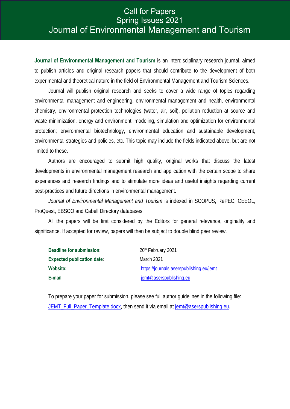### *Journal of Environmental Management and Tourism* Spring Issues 2021 Call for Papers Journal of Environmental Management and Tourism

**Journal of Environmental Management and Tourism** is an interdisciplinary research journal, aimed to publish articles and original research papers that should contribute to the development of both experimental and theoretical nature in the field of Environmental Management and Tourism Sciences.

Journal will publish original research and seeks to cover a wide range of topics regarding environmental management and engineering, environmental management and health, environmental chemistry, environmental protection technologies (water, air, soil), pollution reduction at source and waste minimization, energy and environment, modeling, simulation and optimization for environmental protection; environmental biotechnology, environmental education and sustainable development, environmental strategies and policies, etc. This topic may include the fields indicated above, but are not limited to these.

Authors are encouraged to submit high quality, original works that discuss the latest developments in environmental management research and application with the certain scope to share experiences and research findings and to stimulate more ideas and useful insights regarding current best-practices and future directions in environmental management.

*Journal of Environmental Management and Tourism* is indexed in SCOPUS, RePEC, CEEOL, ProQuest, EBSCO and Cabell Directory databases.

All the papers will be first considered by the Editors for general relevance, originality and significance. If accepted for review, papers will then be subject to double blind peer review.

| Deadline for submission:          | 20th February 2021                       |
|-----------------------------------|------------------------------------------|
| <b>Expected publication date:</b> | March 2021                               |
| Website:                          | https://journals.aserspublishing.eu/jemt |
| E-mail:                           | jemt@aserspublishing.eu                  |

To prepare your paper for submission, please see full author guidelines in the following file: JEMT\_Full\_Paper\_Template.docx, then send it via email at jemt@aserspublishing.eu.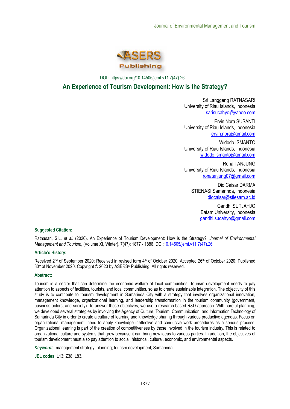

DOI : https://doi.org/10.14505/jemt.v11.7(47).26

#### **An Experience of Tourism Development: How is the Strategy?**

Sri Langgeng RATNASARI University of Riau Islands, Indonesia sarisucahyo@yahoo.com

Ervin Nora SUSANTI University of Riau Islands, Indonesia ervin.nora@gmail.com

Widodo ISMANTO University of Riau Islands, Indonesia widodo.ismanto@gmail.com

Rona TANJUNG University of Riau Islands, Indonesia ronatanjung07@gmail.com

Dio Caisar DARMA STIENASI Samarinda, Indonesia diocaisar@stiesam.ac.id

> Gandhi SUTJAHJO Batam University, Indonesia gandhi.sucahyo@gmail.com

#### **Suggested Citation:**

Ratnasari, S.L. *et al.* (2020). An Experience of Tourism Development: How is the Strategy?. *Journal of Environmental Management and Tourism*, (Volume XI, Winter), 7(47): 1877 - 1886. DOI:10.14505/jemt.v11.7(47).26

#### **Article's History:**

Received 2<sup>nd</sup> of September 2020; Received in revised form 4<sup>th</sup> of October 2020; Accepted 26<sup>th</sup> of October 2020; Published 30th of November 2020. Copyright © 2020 by ASERS® Publishing. All rights reserved.

#### **Abstract:**

Tourism is a sector that can determine the economic welfare of local communities. Tourism development needs to pay attention to aspects of facilities, tourists, and local communities, so as to create sustainable integration. The objectivity of this study is to contribute to tourism development in Samarinda City with a strategy that involves organizational innovation, management knowledge, organizational learning, and leadership transformation in the tourism community (government, business actors, and society). To answer these objectives, we use a research-based R&D approach. With careful planning, we developed several strategies by involving the Agency of Culture, Tourism, Communication, and Information Technology of Samarinda City in order to create a culture of learning and knowledge sharing through various productive agendas. Focus on organizational management, need to apply knowledge ineffective and conducive work procedures as a serious process. Organizational learning is part of the creation of competitiveness by those involved in the tourism industry. This is related to organizational culture and systems that grow because it can bring new ideas to various parties. In addition, the objectives of tourism development must also pay attention to social, historical, cultural, economic, and environmental aspects.

*Keywords*: management strategy; planning; tourism development; Samarinda.

**JEL codes**: L13; Z38; L83.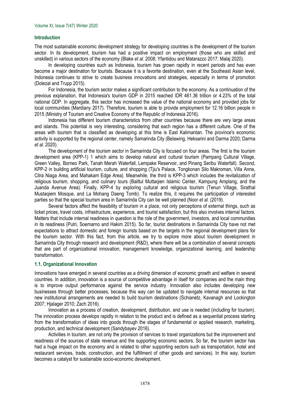#### **Introduction**

The most sustainable economic development strategy for developing countries is the development of the tourism sector. In its development, tourism has had a positive impact on employment (those who are skilled and unskilled) in various sectors of the economy (Blake *et al.* 2008; Yfantidou and Matarazzo 2017; Malaj 2020).

In developing countries such as Indonesia, tourism has grown rapidly in recent periods and has even become a major destination for tourists. Because it is a favorite destination, even at the Southeast Asian level, Indonesia continues to strive to create business innovations and strategies, especially in terms of promotion (Dolezal and Trupp 2015).

For Indonesia, the tourism sector makes a significant contribution to the economy. As a continuation of the previous explanation, that Indonesia's tourism GDP in 2015 reached IDR 461.36 trillion or 4.23% of the total national GDP. In aggregate, this sector has increased the value of the national economy and provided jobs for local communities (Mardiany 2017). Therefore, tourism is able to provide employment for 12.16 billion people in 2015 (Ministry of Tourism and Creative Economy of the Republic of Indonesia 2016).

Indonesia has different tourism characteristics from other countries because there are very large areas and islands. This potential is very interesting, considering that each region has a different culture. One of the areas with tourism that is classified as developing at this time is East Kalimantan. The province's economic activity is supported by the regional center, namely Samarinda City (Belawing, Heksarini and Darma 2020; Darma *et al*. 2020).

The development of the tourism sector in Samarinda City is focused on four areas. The first is the tourism development area (KPP-1) 1 which aims to develop natural and cultural tourism (Pampang Cultural Village, Green Valley, Borneo Park, Tanah Merah Waterfall, Lempake Reservoir, and Pinang Seribu Waterfall). Second, KPP-2 in building artificial tourism, culture, and shopping (Tjiu's Palace, Tongkonan Silo Makroman, Villa Anne, Citra Niaga Area, and Mahakam Edge Area). Meanwhile, the third is KPP-3 which includes the revitalization of religious tourism, shopping, and culinary tours (Baittul Muttaqien Islamic Center, Kampung Amplang, and the Juanda Avenue Area). Finally, KPP-4 by exploring cultural and religious tourism (Tenun Village, Sirathal Mustaqiem Mosque, and La Mohang Daeng Tomb). To realize this, it requires the participation of interested parties so that the special tourism area in Samarinda City can be well planned (Noor *et al.* (2019).

Several factors affect the feasibility of tourism in a place, not only perceptions of external things, such as ticket prices, travel costs, infrastructure, experience, and tourist satisfaction, but this also involves internal factors. Matters that include internal readiness in question is the role of the government, investors, and local communities in its readiness (Putri, Soemarno and Hakim 2015). So far, tourist destinations in Samarinda City have not met expectations to attract domestic and foreign tourists based on the targets in the regional development plans for the tourism sector. With this fact, from this article, we try to explore more about tourism development in Samarinda City through research and development (R&D), where there will be a combination of several concepts that are part of organizational innovation, management knowledge, organizational learning, and leadership transformation.

#### **1.1. Organizational Innovation**

Innovations have emerged in several countries as a driving dimension of economic growth and welfare in several countries. In addition, innovation is a source of competitive advantage in itself for companies and the main thing is to improve output performance against the service industry. Innovation also includes developing new businesses through better processes, because this way can be updated to navigate internal resources so that new institutional arrangements are needed to build tourism destinations (Schianetz, Kavanagh and Lockington 2007; Hjalager 2010; Zach 2016).

Innovation as a process of creation, development, distribution, and use is needed (including for tourism). The innovation process develops rapidly in relation to the product and is defined as a sequential process starting from the transformation of ideas into goods through the stages of fundamental or applied research, marketing, production, and technical development (Sandybayev 2016).

Activities in tourism, are not only the provision of services to travel organizations but the improvement and readiness of the sources of state revenue and the supporting economic sectors. So far, the tourism sector has had a huge impact on the economy and is related to other supporting sectors such as transportation, hotel and restaurant services, trade, construction, and the fulfillment of other goods and services). In this way, tourism becomes a catalyst for sustainable socio-economic development.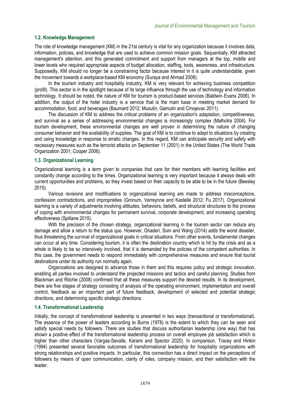#### **1.2. Knowledge Management**

The role of knowledge management (KM) in the 21st century is vital for any organization because it involves data, information, policies, and knowledge that are used to achieve common mission goals. Sequentially, KM attracted management's attention, and this generated commitment and support from managers at the top, middle and lower levels who required appropriate aspects of budget allocation, staffing, tools, awareness, and infrastructure. Supposedly, KM should no longer be a constraining factor because interest in it is quite understandable, given the movement towards a workplace-based KM economy (Suraya and Ahmad 2008).

In the tourism industry and hospitality industry, KM is very relevant for achieving business competition (profit). This sector is in the spotlight because of its large influence through the use of technology and information technology. It should be noted, the nature of KM for tourism is product-based services (Baldwin‐Evans 2006). In addition, the output of the hotel industry is a service that is the main base in meeting market demand for accommodation, food, and beverages (Baumard 2012; Musulin, Gamulin and Crnojevac 2011).

The discussion of KM to address the critical problems of an organization's adaptation, competitiveness, and survival as a series of addressing environmental changes is increasingly complex (Malhotra 2004). For tourism development, these environmental changes are well proven in determining the nature of changing consumer behavior and the availability of supplies. The goal of KM is to continue to adapt to situations by creating and using knowledge in response to erratic changes. In this regard, KM can anticipate security and safety with necessary measures such as the terrorist attacks on September 11 (2001) in the United States (The World Trade Organization 2001; Cooper 2006).

#### **1.3. Organizational Learning**

Organizational learning is a term given to companies that care for their members with learning facilities and constantly change according to the times. Organizational learning is very important because it always deals with current opportunities and problems, so they invest based on their capacity to be able to be in the future (Beesley 2015).

Various revisions and modifications to organizational learning are made to address misconceptions, confession contradictions, and improprieties (Gronum, Verreynne and Kastelle 2012; Fu 2017). Organizational learning is a variety of adjustments involving attitudes, behaviors, beliefs, and structural structures to the process of coping with environmental changes for permanent survival, corporate development, and increasing operating effectiveness (Spillane 2015).

With the precision of the chosen strategy, organizational learning in the tourism sector can reduce any damage and allow a return to the status quo. However, Ghaderi, Som and Wang (2014) adds the worst disaster, thus threatening the survival of organizational goals in critical situations. From other events, fundamental changes can occur at any time. Considering tourism, it is often the destination country which is hit by the crisis and as a whole is likely to be so intensively involved, that it is demanded by the policies of the competent authorities. In this case, the government needs to respond immediately with comprehensive measures and ensure that tourist destinations under its authority run normally again.

Organizations are designed to advance those in them and this requires policy and strategic innovation, enabling all parties involved to understand the projected missions and tactics and careful planning. Studies from Blackman and Ritchie (2008) confirmed that all these measures support the desired results. In its development, there are five stages of strategy consisting of analysis of the operating environment, implementation and overall control, feedback as an important part of future feedback, development of selected and potential strategic directions, and determining specific strategic directions.

#### **1.4. Transformational Leadership**

Initially, the concept of transformational leadership is presented in two ways (transactional or transformational). The essence of the power of leaders according to Burns (1978) is the extent to which they can be seen and satisfy special needs by followers. There are studies that discuss authoritarian leadership (one way) that has shown a positive effect of the transformational leadership process on overall employee job satisfaction which is higher than other characters (Vargas-Sevalle, Karami and Spector 2020). In comparison, Tracey and Hinkin (1994) presented several favorable outcomes of transformational leadership for hospitality organizations with strong relationships and positive impacts. In particular, this connection has a direct impact on the perceptions of followers by means of open communication, clarity of roles, company mission, and their satisfaction with the leader.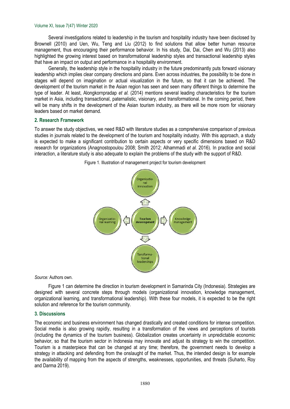#### Volume XI, Issue 7(47) Winter 2020

Several investigations related to leadership in the tourism and hospitality industry have been disclosed by Brownell (2010) and Uen, Wu, Teng and Liu (2012) to find solutions that allow better human resource management, thus encouraging their performance behavior. In his study, Dai, Dai, Chen and Wu (2013) also highlighted the growing interest based on transformational leadership styles and transactional leadership styles that have an impact on output and performance in a hospitality environment.

Generally, the leadership style in the hospitality industry in the future predominantly puts forward visionary leadership which implies clear company directions and plans. Even across industries, the possibility to be done in stages will depend on imagination or actual visualization in the future, so that it can be achieved. The development of the tourism market in the Asian region has seen and seen many different things to determine the type of leader. At least, Alongkornpradap *et al.* (2014) mentions several leading characteristics for the tourism market in Asia, including transactional, paternalistic, visionary, and transformational. In the coming period, there will be many shifts in the development of the Asian tourism industry, as there will be more room for visionary leaders based on market demand.

#### **2. Research Framework**

To answer the study objectives, we need R&D with literature studies as a comprehensive comparison of previous studies in journals related to the development of the tourism and hospitality industry. With this approach, a study is expected to make a significant contribution to certain aspects or very specific dimensions based on R&D research for organizations (Anagnostopoulou 2008; Smith 2012; Alhammadi *et al.* 2016). In practice and social interaction, a literature study is also adequate to explain the problems of the study with the support of R&D.



Figure 1. Illustration of management project for tourism development

*Source:* Authors own.

Figure 1 can determine the direction in tourism development in Samarinda City (Indonesia). Strategies are designed with several concrete steps through models (organizational innovation, knowledge management, organizational learning, and transformational leadership). With these four models, it is expected to be the right solution and reference for the tourism community.

#### **3. Discussions**

The economic and business environment has changed drastically and created conditions for intense competition. Social media is also growing rapidly, resulting in a transformation of the views and perceptions of tourists (including the dynamics of the tourism business). Globalization creates uncertainty in unpredictable economic behavior, so that the tourism sector in Indonesia may innovate and adjust its strategy to win the competition. Tourism is a masterpiece that can be changed at any time; therefore, the government needs to develop a strategy in attacking and defending from the onslaught of the market. Thus, the intended design is for example the availability of mapping from the aspects of strengths, weaknesses, opportunities, and threats (Suharto, Roy and Darma 2019).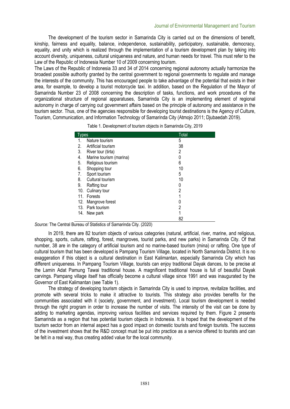The development of the tourism sector in Samarinda City is carried out on the dimensions of benefit, kinship, fairness and equality, balance, independence, sustainability, participatory, sustainable, democracy, equality, and unity which is realized through the implementation of a tourism development plan by taking into account diversity, uniqueness, cultural uniqueness and nature, and human needs for travel. This must refer to the Law of the Republic of Indonesia Number 10 of 2009 concerning tourism.

The Laws of the Republic of Indonesia 33 and 34 of 2014 concerning regional autonomy actually harmonize the broadest possible authority granted by the central government to regional governments to regulate and manage the interests of the community. This has encouraged people to take advantage of the potential that exists in their area, for example, to develop a tourist motorcycle taxi. In addition, based on the Regulation of the Mayor of Samarinda Number 23 of 2008 concerning the description of tasks, functions, and work procedures of the organizational structure of regional apparatuses, Samarinda City is an implementing element of regional autonomy in charge of carrying out government affairs based on the principle of autonomy and assistance in the tourism sector. Thus, one of the agencies responsible for developing tourist destinations is the Agency of Culture, Tourism, Communication, and Information Technology of Samarinda City (Atmojo 2011; Djubaedah 2019).

Table 1. Development of tourism objects in Samarinda City, 2019

| Types                         | Total |
|-------------------------------|-------|
| Nature tourism<br>1.          | 5     |
| 2.<br>Artificial tourism      | 38    |
| 3.<br>River tour (tirta)      | 2     |
| 4.<br>Marine tourism (marina) |       |
| 5.<br>Religious tourism       | 6     |
| 6.<br>Shopping tour           | 10    |
| 7.<br>Sport tourism           | 5     |
| 8.<br>Cultural tourism        | 10    |
| 9.<br>Rafting tour            | 0     |
| 10.<br>Culinary tour          | 2     |
| Forests<br>11.                |       |
| 12.<br>Mangrove forest        |       |
| 13. Park tourism              | 2     |
| New park<br>14.               |       |
|                               | 82    |

| Source: The Central Bureau of Statistics of Samarinda City. (2020) |  |
|--------------------------------------------------------------------|--|
|--------------------------------------------------------------------|--|

In 2019, there are 82 tourism objects of various categories (natural, artificial, river, marine, and religious, shopping, sports, culture, rafting, forest, mangroves, tourist parks, and new parks) in Samarinda City. Of that number, 38 are in the category of artificial tourism and no marine-based tourism (mina) or rafting. One type of cultural tourism that has been developed is Pampang Tourism Village, located in North Samarinda District. It is no exaggeration if this object is a cultural destination in East Kalimantan, especially Samarinda City which has different uniqueness. In Pampang Tourism Village, tourists can enjoy traditional Dayak dances, to be precise at the Lamin Adat Pamung Tawai traditional house. A magnificent traditional house is full of beautiful Dayak carvings. Pampang village itself has officially become a cultural village since 1991 and was inaugurated by the Governor of East Kalimantan (see Table 1).

The strategy of developing tourism objects in Samarinda City is used to improve, revitalize facilities, and promote with several tricks to make it attractive to tourists. This strategy also provides benefits for the communities associated with it (society, government, and investment). Local tourism development is needed through the right program in order to increase the number of visits. The intensity of the visit can be done by adding to marketing agendas, improving various facilities and services required by them. Figure 2 presents Samarinda as a region that has potential tourism objects in Indonesia. It is hoped that the development of the tourism sector from an internal aspect has a good impact on domestic tourists and foreign tourists. The success of the investment shows that the R&D concept must be put into practice as a service offered to tourists and can be felt in a real way, thus creating added value for the local community.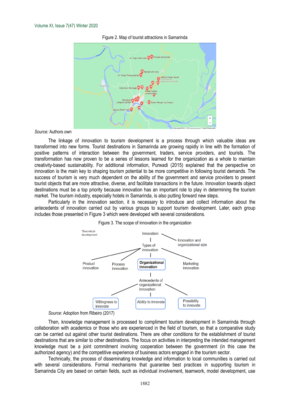

Figure 2. Map of tourist attractions in Samarinda

*Source:* Authors own

The linkage of innovation to tourism development is a process through which valuable ideas are transformed into new forms. Tourist destinations in Samarinda are growing rapidly in line with the formation of positive patterns of interaction between the government, traders, service providers, and tourists. The transformation has now proven to be a series of lessons learned for the organization as a whole to maintain creativity-based sustainability. For additional information, Purwadi (2015) explained that the perspective on innovation is the main key to shaping tourism potential to be more competitive in following tourist demands. The success of tourism is very much dependent on the ability of the government and service providers to present tourist objects that are more attractive, diverse, and facilitate transactions in the future. Innovation towards object destinations must be a top priority because innovation has an important role to play in determining the tourism market. The tourism industry, especially hotels in Samarinda, is also putting forward new steps.

Particularly in the innovation section, it is necessary to introduce and collect information about the antecedents of innovation carried out by various groups to support tourism development. Later, each group includes those presented in Figure 3 which were developed with several considerations.



Figure 3. The scope of innovation in the organization

Then, knowledge management is processed to compliment tourism development in Samarinda through collaboration with academics or those who are experienced in the field of tourism, so that a comparative study can be carried out against other tourist destinations. There are other conditions for the establishment of tourist destinations that are similar to other destinations. The focus on activities in interpreting the intended management knowledge must be a joint commitment involving cooperation between the government (in this case the authorized agency) and the competitive experience of business actors engaged in the tourism sector.

Technically, the process of disseminating knowledge and information to local communities is carried out with several considerations. Formal mechanisms that guarantee best practices in supporting tourism in Samarinda City are based on certain fields, such as individual involvement, teamwork, model development, use

*Source:* Adoption from Ribeiro (2017)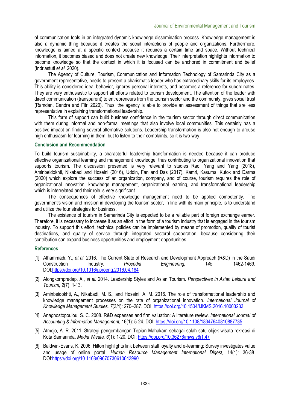of communication tools in an integrated dynamic knowledge dissemination process. Knowledge management is also a dynamic thing because it creates the social interactions of people and organizations. Furthermore, knowledge is aimed at a specific context because it requires a certain time and space. Without technical information, it becomes biased and does not create new knowledge. Their interpretation highlights information to become knowledge so that the context in which it is focused can be anchored in commitment and belief (Indriastuti *et al.* 2020).

The Agency of Culture, Tourism, Communication and Information Technology of Samarinda City as a government representative, needs to present a charismatic leader who has extraordinary skills for its employees. This ability is considered ideal behavior, ignores personal interests, and becomes a reference for subordinates. They are very enthusiastic to support all efforts related to tourism development. The attention of the leader with direct communication (transparent) to entrepreneurs from the tourism sector and the community, gives social trust (Ramdan, Candra and Fitri 2020). Thus, the agency is able to provide an assessment of things that are less representative in explaining transformational leadership.

This form of support can build business confidence in the tourism sector through direct communication with them during informal and non-formal meetings that also involve local communities. This certainly has a positive impact on finding several alternative solutions. Leadership transformation is also not enough to arouse high enthusiasm for learning in them, but to listen to their complaints, so it is two-way.

#### **Conclusion and Recommendation**

To build tourism sustainability, a characterful leadership transformation is needed because it can produce effective organizational learning and management knowledge, thus contributing to organizational innovation that supports tourism. The discussion presented is very relevant to studies Rao, Yang and Yang (2018), Aminbeidokhti, Nikabadi and Hoseini (2016), Uddin, Fan and Das (2017), Kamri, Kasuma, Kutok and Darma (2020) which explore the success of an organization, company, and of course, tourism requires the role of organizational innovation, knowledge management, organizational learning, and transformational leadership which is interrelated and their role is very significant.

The consequences of effective knowledge management need to be applied competently. The government's vision and mission in developing the tourism sector, in line with its main principle, is to understand and utilize the four strategies for business.

The existence of tourism in Samarinda City is expected to be a reliable part of foreign exchange earner. Therefore, it is necessary to increase it as an effort in the form of a tourism industry that is engaged in the tourism industry. To support this effort, technical policies can be implemented by means of promotion, quality of tourist destinations, and quality of service through integrated sectoral cooperation, because considering their contribution can expand business opportunities and employment opportunities.

#### **References**

- [1] Alhammadi, Y., *et al.* 2016. The Current State of Research and Development Approach (R&D) in the Saudi Construction Industry. *Procedia Engineering, 145*: 1462-1469. DOI:https://doi.org/10.1016/j.proeng.2016.04.184
- [2] Alongkornpradap, A., *et al.* 2014. Leadership Styles and Asian Tourism. *Perspectives in Asian Leisure and Tourism, 2*(7): 1-13.
- [3] Aminbeidokhti, A., Nikabadi, M. S., and Hoseini, A. M. 2016. The role of transformational leadership and knowledge management processes on the rate of organizational innovation. *International Journal of Knowledge Management Studies, 7*(3/4): 270–287. DOI: https://doi.org/10.1504/IJKMS.2016.10003233
- [4] Anagnostopoulou, S. C. 2008. R&D expenses and firm valuation: A literature review. *International Journal of Accounting & Information Management,* 16(1): 5-24. DOI: https://doi.org/10.1108/18347640810887735
- [5] Atmojo, A. R. 2011. Strategi pengembangan Tepian Mahakam sebagai salah satu objek wisata rekreasi di Kota Samarinda. *Media Wisata, 6*(1): 1-20. DOI: https://doi.org/10.36276/mws.v6i1.47
- [6] Baldwin‐Evans, K. 2006. Hilton highlights link between staff loyalty and e‐learning: Survey investigates value and usage of online portal. *Human Resource Management International Digest,* 14(1): 36-38. DOI:https://doi.org/10.1108/09670730610643990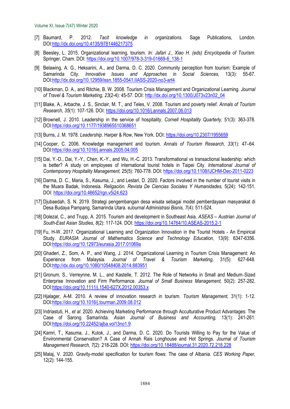Volume XI, Issue 7(47) Winter 2020

- [7] Baumard, P. 2012. *Tacit knowledge in organizations*. Sage Publications, London. DOI:http://dx.doi.org/10.4135/9781446217375
- [8] Beesley, L. 2015. Organizational learning, tourism. *In: Jafari J., Xiao H. (eds) Encyclopedia of Tourism*. Springer, Cham. DOI: https://doi.org/10.1007/978-3-319-01669-6\_138-1
- [9] Belawing, A. G., Heksarini, A., and Darma, D. C. 2020. Community perception from tourism: Example of Samarinda City. *Innovative Issues and Approaches in Social Sciences,* 13(3): 55-67. DOI:http://dx.doi.org/10.12959/issn.1855-0541.IIASS-2020-no3-art4
- [10] Blackman, D. A., and Ritchie, B. W. 2008. Tourism Crisis Management and Organizational Learning. *Journal of Travel & Tourism Marketing, 23*(2-4): 45-57. DOI: http://dx.doi.org/10.1300/J073v23n02\_04
- [11] Blake, A., Arbache, J. S., Sinclair, M. T., and Teles, V. 2008. Tourism and poverty relief. *Annals of Tourism Research*, *35*(1): 107-126. DOI: https://doi.org/10.1016/j.annals.2007.06.013
- [12] Brownell, J. 2010. Leadership in the service of hospitality. *Cornell Hospitality Quarterly,* 51(3): 363-378. DOI:https://doi.org/10.1177/1938965510368651
- [13] Burns, J. M. 1978. *Leadership*. Harper & Row, New York. DOI: https://doi.org/10.2307/1955659
- [14] Cooper, C. 2006. Knowledge management and tourism. *Annals of Tourism Research, 33*(1): 47–64. DOI:https://doi.org/10.1016/j.annals.2005.04.005
- [15] Dai, Y.-D., Dai, Y.-Y., Chen, K.-Y., and Wu, H.-C. 2013. Transformational vs transactional leadership: which is better? A study on employees of international tourist hotels in Taipei City. *International Journal of Contemporary Hospitality Management,* 25(5): 760-778. DOI: https://doi.org/10.1108/IJCHM-Dec-2011-0223
- [16] Darma, D. C., Maria, S., Kasuma, J., and Lestari, D. 2020. Factors involved in the number of tourist visits in the Muara Badak, Indonesia. *Religación. Revista De Ciencias Sociales Y Humanidades,* 5(24): 142-151. DOI: https://doi.org/10.46652/rgn.v5i24.623
- [17] Djubaedah, S. N. 2019. Strategi pengembangan desa wisata sebagai model pemberdayaan masyarakat di Desa Budaya Pampang, Samarinda Utara. *eJournal Administrasi Bisnis, 7*(4): 511-524.
- [18] Dolezal, C., and Trupp, A. 2015. Tourism and development in Southeast Asia. *ASEAS Austrian Journal of South-East Asian Studies, 8*(2): 117-124. DOI: https://doi.org/10.14764/10.ASEAS-2015.2-1
- [19] Fu, H-W. 2017. Organizational Learning and Organization Innovation in the Tourist Hotels An Empirical Study. *EURASIA Journal of Mathematics Science and Technology Education,* 13(9): 6347-6356. DOI:https://doi.org/10.12973/eurasia.2017.01069a
- [20] Ghaderi, Z., Som, A. P., and Wang, J. 2014. Organizational Learning in Tourism Crisis Management: An Experience from Malaysia. *Journal of Travel & Tourism Marketing,* 31(5): 627-648. DOI:http://dx.doi.org/10.1080/10548408.2014.883951
- [21] Gronum, S., Verreynne, M. L., and Kastelle, T. 2012. The Role of Networks in Small and Medium-Sized Enterprise Innovation and Firm Performance. *Journal of Small Business Management,* 50(2): 257-282. DOI:https://doi.org/10.1111/j.1540-627X.2012.00353.x
- [22] Hjalager, A-M. 2010. A review of innovation research in tourism. *Tourism Management,* 31(1): 1-12. DOI:https://doi.org/10.1016/j.tourman.2009.08.012
- [23] Indriastuti, H., *et al.* 2020. Achieving Marketing Performance through Acculturative Product Advantages: The Case of Sarong Samarinda. *Asian Journal of Business and Accounting,* 13(1): 241-261. DOI:https://doi.org/10.22452/ajba.vol13no1.9
- [24] Kamri, T., Kasuma, J., Kutok, J., and Darma, D. C. 2020. Do Tourists Willing to Pay for the Value of Environmental Conservation? A Case of Annah Rais Longhouse and Hot Springs. *Journal of Tourism Management Research, 7*(2): 218-228. DOI: https://doi.org/10.18488/journal.31.2020.72.218.228
- [25] Malaj, V. 2020. Gravity-model specification for tourism flows: The case of Albania. *CES Working Paper,*  12(2): 144-155.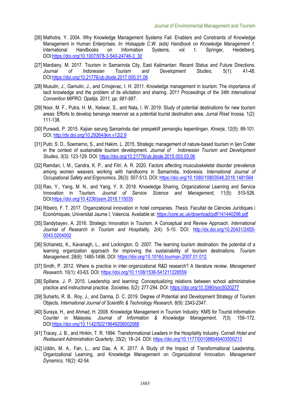- [26] Malhotra, Y. 2004. Why Knowledge Management Systems Fail: Enablers and Constraints of Knowledge Management in Human Enterprises*. In: Holsapple C.W. (eds) Handbook on Knowledge Management 1.*  International Handbooks on Information Systems, vol 1. Springer, Heidelberg. DOI:https://doi.org/10.1007/978-3-540-24746-3\_30
- [27] Mardiany, M. 2017. Tourism in Samarinda City, East Kalimantan: Recent Status and Future Directions. *Journal of Indonesian Tourism and Development Studies,* 5(1): 41-48. DOI:https://doi.org/10.21776/ub.jitode.2017.005.01.06
- [28] Musulin, J., Gamulin, J., and Crnojevac, I. H. 2011. Knowledge management in tourism: The importance of tacit knowledge and the problem of its elicitation and sharing. *2011 Proceedings of the 34th International Convention MIPRO, Opatija, 2011, pp. 981-987*.
- [29] Noor, M. F., Putra, H. M., Keliwar, S., and Nala, I. W. 2019. Study of potential destinations for new tourism areas: Efforts to develop benanga reservoir as a potential tourist destination area. *Jurnal Riset Inossa,* 1(2): 111-138.
- [30] Purwadi, P. 2015. Kajian sarung Samarinda dari prespektif pemangku kepentingan. *Kinerja,* 12(5): 89-101. DOI: http://dx.doi.org/10.29264/jkin.v12i2.9
- [31] Putri, S. D., Soemarno, S., and Hakim, L. 2015. Strategic management of nature-based tourism in Ijen Crater in the context of sustainable tourism development. *Journal of Indonesian Tourism and Development Studies, 3*(3): 123-129. DOI: https://doi.org/10.21776/ub.jitode.2015.003.03.06
- [32] Ramdan, I, M., Candra, K. P., and Fitri, A. R. 2020. Factors affecting musculoskeletal disorder prevalence among women weavers working with handlooms in Samarinda, Indonesia. *International Journal of Occupational Safety and Ergonomics,* 26(3): 507-513. DOI: https://doi.org/10.1080/10803548.2018.1481564
- [33] Rao, Y., Yang, M. N., and Yang, Y. X. 2018. Knowledge Sharing, Organizational Learning and Service Innovation in Tourism. *Journal of Service Science and Management,* 11(5): 510-526. DOI:https://doi.org/10.4236/jssm.2018.115035
- [34] Ribeiro, F. T. 2017. Organizational innovation in hotel companies. *Thesis*. Facultat de Ciències Jurídiques i Econòmiques, Universitat Jaume I, Valencia. Available at: https://core.ac.uk/download/pdf/141440298.pdf
- [35] Sandybayev, A. 2016. Strategic Innovation in Tourism. A Conceptual and Review Approach. *International Journal of Research in Tourism and Hospitality, 2*(4): 5-10. DOI: http://dx.doi.org/10.20431/2455- 0043.0204002
- [36] Schianetz, K., Kavanagh, L., and Lockington, D. 2007. The learning tourism destination: the potential of a learning organization approach for improving the sustainability of tourism destinations. *Tourism Management,* 28(6): 1485-1496. DOI: https://doi.org/10.1016/j.tourman.2007.01.012
- [37] Smith, P. 2012. Where is practice in inter‐organizational R&D research? A literature review. *Management Research,* 10(1): 43-63. DOI: https://doi.org/10.1108/1536-541211228559
- [38] Spillane, J. P. 2015. Leadership and learning: Conceptualizing relations between school administrative practice and instructional practice. *Societies,* 5(2): 277-294. DOI: https://doi.org/10.3390/soc5020277
- [39] Suharto, R. B., Roy, J., and Darma, D. C. 2019. Degree of Potential and Development Strategy of Tourism Objects. *International Journal of Scientific & Technology Research,* 8(9): 2343-2347.
- [40] Suraya, H., and Ahmad, H. 2008. Knowledge Management in Tourism Industry: KMS for Tourist Information Counter in Malaysia. *Journal of Information & Knowledge Management, 7*(3): 159–172. DOI:https://doi.org/10.1142/S0219649208002068
- [41] Tracey, J. B., and Hinkin, T. R. 1994. Transformational Leaders in the Hospitality Industry. Cornell *Hotel and Restaurant Administration Quarterly, 35*(2): 18–24. DOI: https://doi.org/10.1177/001088049403500213
- [42] Uddin, M. A., Fan, L., and Das, A. K. 2017. A Study of the Impact of Transformational Leadership. Organizational Learning, and Knowledge Management on Organizational Innovation. *Management Dynamics, 16*(2): 42-54.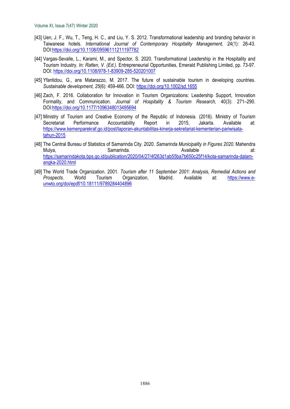- [43] Uen, J. F., Wu, T., Teng, H. C., and Liu, Y. S. 2012. Transformational leadership and branding behavior in Taiwanese hotels. *International Journal of Contemporary Hospitality Management,* 24(1): 26-43. DOI:https://doi.org/10.1108/09596111211197782
- [44] Vargas-Sevalle, L., Karami, M., and Spector, S. 2020. Transformational Leadership in the Hospitality and Tourism Industry. *In: Ratten, V. (Ed.)*. Entrepreneurial Opportunities, Emerald Publishing Limited, pp. 73-97. DOI: https://doi.org/10.1108/978-1-83909-285-520201007
- [45] Yfantidou, G., ans Matarazzo, M. 2017. The future of sustainable tourism in developing countries. *Sustainable development, 25*(6): 459-466. DOI: https://doi.org/10.1002/sd.1655
- [46] Zach, F. 2016. Collaboration for Innovation in Tourism Organizations: Leadership Support, Innovation Formality, and Communication. *Journal of Hospitality & Tourism Research,* 40(3): 271–290. DOI:https://doi.org/10.1177/1096348013495694
- [47] Ministry of Tourism and Creative Economy of the Republic of Indonesia. (2016). Ministry of Tourism Secretariat Performance Accountability Report in 2015, Jakarta. Available at: https://www.kemenparekraf.go.id/post/laporan-akuntabilitas-kinerja-sekretariat-kementerian-pariwisatatahun-2015
- [48] The Central Bureau of Statistics of Samarinda City. 2020. *Samarinda Municipality in Figures 2020*. Mahendra Mulya, and Samarinda. Available at: http://www.fat.com/induction-state-ofhttps://samarindakota.bps.go.id/publication/2020/04/27/4f263d1ab55ba7b650c25f14/kota-samarinda-dalamangka-2020.html
- [49] The World Trade Organization. 2001. *Tourism after 11 September 2001: Analysis, Remedial Actions and Prospects*. World Tourism Organization, Madrid. Available at: https://www.eunwto.org/doi/epdf/10.18111/9789284404896